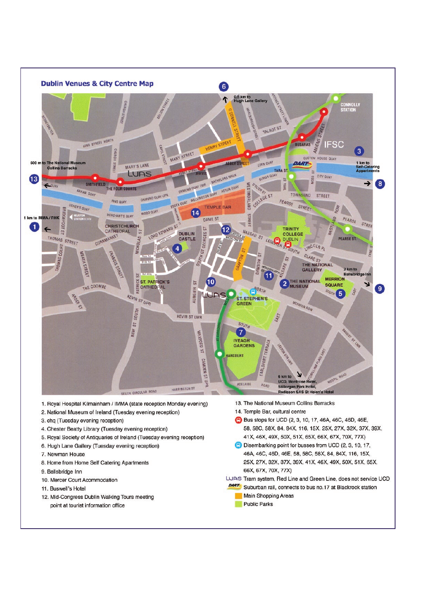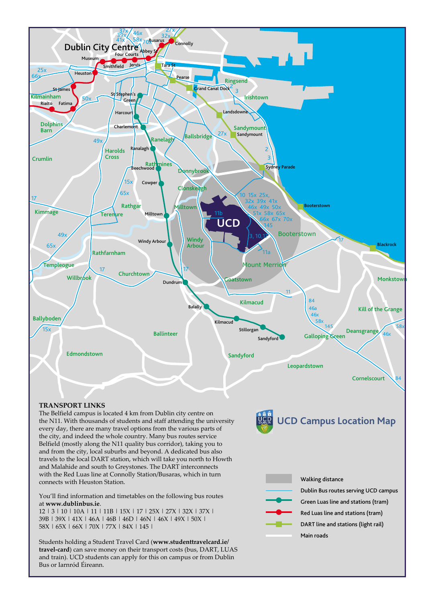

39B | 39X | 41X | 46A | 46B | 46D | 46N | 46X | 49X | 50X | 58X | 65X | 66X | 70X | 77X | 84X | 145 |

Students holding a Student Travel Card (www.studenttravelcard.ie/ travel-card) can save money on their transport costs (bus, DART, LUAS and train). UCD students can apply for this on campus or from Dublin Bus or Iarnród Éireann.

DART line and stations (light rail) Main roads